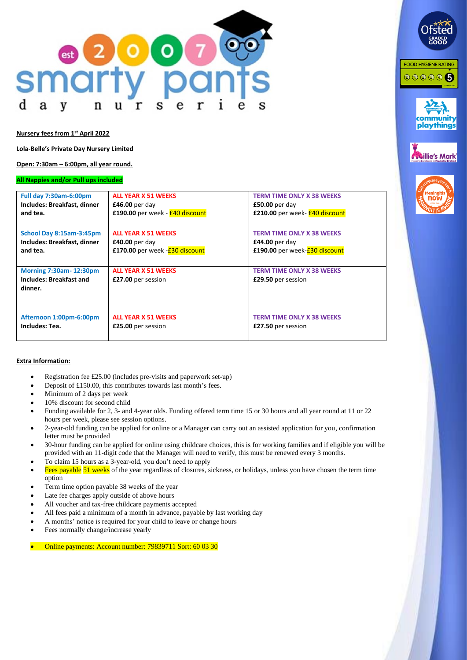

**Nursery fees from 1 st April 2022**

**Lola-Belle's Private Day Nursery Limited**

**Open: 7:30am – 6:00pm, all year round.**

#### **All Nappies and/or Pull ups included**

| <b>Full day 7:30am-6:00pm</b>                                              | <b>ALL YEAR X 51 WEEKS</b>                       | <b>TERM TIME ONLY X 38 WEEKS</b>                       |
|----------------------------------------------------------------------------|--------------------------------------------------|--------------------------------------------------------|
| Includes: Breakfast, dinner                                                | £46.00 per day                                   | $£50.00$ per day                                       |
| and tea.                                                                   | £190.00 per week - £40 discount                  | £210.00 per week- £40 discount                         |
| School Day 8:15am-3:45pm                                                   | <b>ALL YEAR X 51 WEEKS</b>                       | <b>TERM TIME ONLY X 38 WEEKS</b>                       |
| Includes: Breakfast, dinner                                                | $£40.00$ per day                                 | £44.00 per day                                         |
| and tea.                                                                   | £170.00 per week - <b>£30 discount</b>           | £190.00 per week- <b>£30 discount</b>                  |
| <b>Morning 7:30am-12:30pm</b><br><b>Includes: Breakfast and</b><br>dinner. | <b>ALL YEAR X 51 WEEKS</b><br>£27.00 per session | <b>TERM TIME ONLY X 38 WEEKS</b><br>£29.50 per session |
| Afternoon 1:00pm-6:00pm                                                    | <b>ALL YEAR X 51 WEEKS</b>                       | <b>TERM TIME ONLY X 38 WEEKS</b>                       |
| Includes: Tea.                                                             | £25.00 per session                               | £27.50 per session                                     |

**FOOD HYGIENE RATING** 

000006

playthings

**Willie's Mark** 

now

#### **Extra Information:**

- Registration fee £25.00 (includes pre-visits and paperwork set-up)
- Deposit of £150.00, this contributes towards last month's fees.
- Minimum of 2 days per week
- 10% discount for second child
- Funding available for 2, 3- and 4-year olds. Funding offered term time 15 or 30 hours and all year round at 11 or 22 hours per week, please see session options.
- 2-year-old funding can be applied for online or a Manager can carry out an assisted application for you, confirmation letter must be provided
- 30-hour funding can be applied for online using childcare choices, this is for working families and if eligible you will be provided with an 11-digit code that the Manager will need to verify, this must be renewed every 3 months.
- To claim 15 hours as a 3-year-old, you don't need to apply
- Fees payable 51 weeks of the year regardless of closures, sickness, or holidays, unless you have chosen the term time option
- Term time option payable 38 weeks of the year
- Late fee charges apply outside of above hours
- All voucher and tax-free childcare payments accepted
- All fees paid a minimum of a month in advance, payable by last working day
- A months' notice is required for your child to leave or change hours
- Fees normally change/increase yearly

• Online payments: Account number: 79839711 Sort: 60 03 30